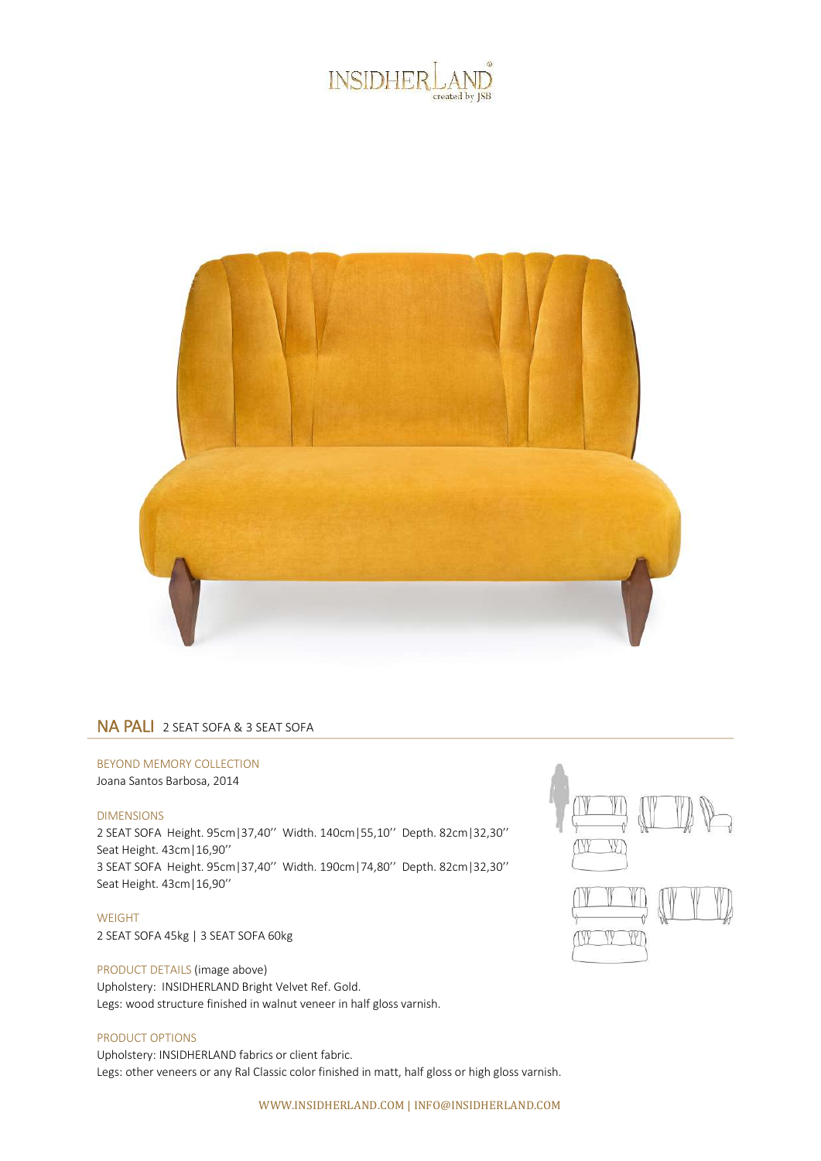



## NA PALI 2 SEAT SOFA & 3 SEAT SOFA

## BEYOND MEMORY COLLECTION

Joana Santos Barbosa, 2014

## DIMENSIONS

2 SEAT SOFA Height. 95cm|37,40'' Width. 140cm|55,10'' Depth. 82cm|32,30'' Seat Height. 43cm|16,90'' 3 SEAT SOFA Height. 95cm|37,40'' Width. 190cm|74,80'' Depth. 82cm|32,30'' Seat Height. 43cm|16,90''

WEIGHT 2 SEAT SOFA 45kg | 3 SEAT SOFA 60kg

PRODUCT DETAILS (image above) Upholstery: INSIDHERLAND Bright Velvet Ref. Gold. Legs: wood structure finished in walnut veneer in half gloss varnish.

## PRODUCT OPTIONS

Upholstery: INSIDHERLAND fabrics or client fabric. Legs: other veneers or any Ral Classic color finished in matt, half gloss or high gloss varnish.